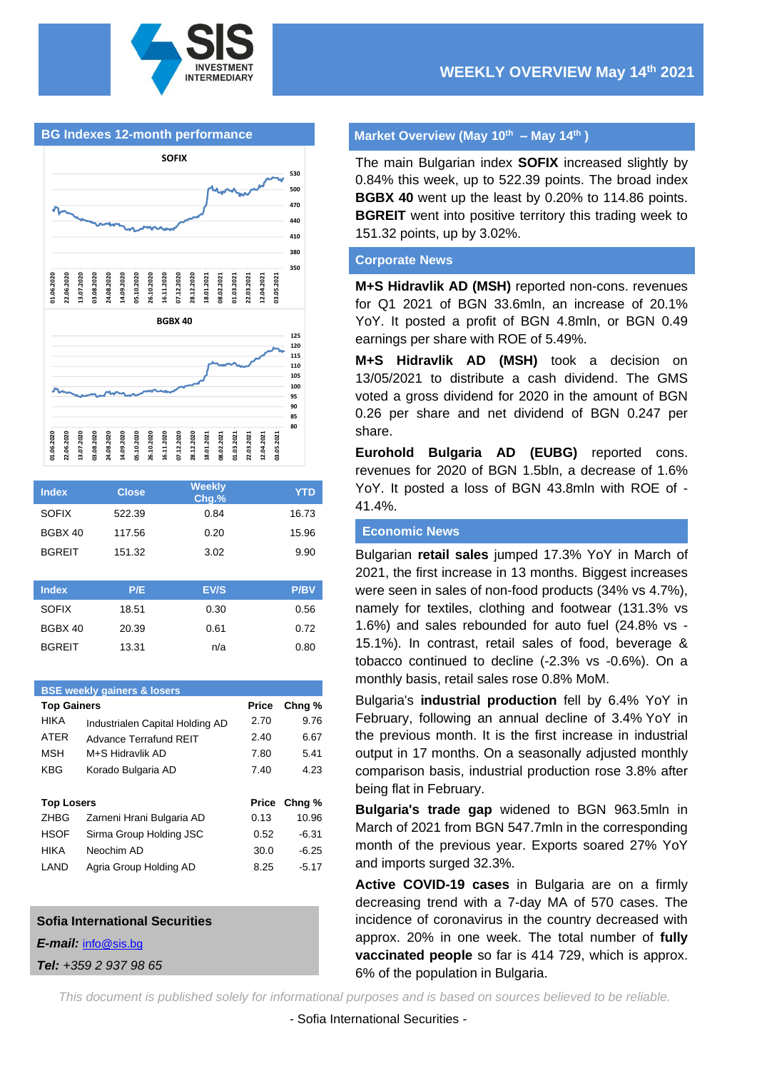





| <b>Index</b>  | <b>Close</b> | <b>Weekly</b><br>Chg.% | <b>YTD</b>  |
|---------------|--------------|------------------------|-------------|
| <b>SOFIX</b>  | 522.39       | 0.84                   | 16.73       |
| BGBX 40       | 117.56       | 0.20                   | 15.96       |
| <b>BGREIT</b> | 151.32       | 3.02                   | 9.90        |
| <b>Index</b>  | P/E          | EV/S                   | <b>P/BV</b> |
| <b>SOFIX</b>  | 18.51        | 0.30                   | 0.56        |
| BGBX 40       | 20.39        | 0.61                   | 0.72        |
| <b>BGREIT</b> | 13.31        | n/a                    | 0.80        |

| <b>BSE weekly gainers &amp; losers</b> |                                 |              |                   |  |  |  |
|----------------------------------------|---------------------------------|--------------|-------------------|--|--|--|
| <b>Top Gainers</b>                     |                                 | <b>Price</b> | Chng <sub>%</sub> |  |  |  |
| HIKA                                   | Industrialen Capital Holding AD | 2.70         | 9.76              |  |  |  |
| <b>ATFR</b>                            | Advance Terrafund RFIT          | 2.40         | 6.67              |  |  |  |
| MSH                                    | M+S Hidravlik AD                | 7.80         | 5.41              |  |  |  |
| KBG                                    | Korado Bulgaria AD              | 7.40         | 4.23              |  |  |  |
|                                        |                                 |              |                   |  |  |  |
| <b>Top Losers</b>                      |                                 | Price        | Chng %            |  |  |  |
| <b>ZHBG</b>                            | Zarneni Hrani Bulgaria AD       | 0.13         | 10.96             |  |  |  |
| <b>HSOF</b>                            | Sirma Group Holding JSC         | 0.52         | $-6.31$           |  |  |  |
| HIKA                                   | Neochim AD                      | 30.0         | $-6.25$           |  |  |  |
| LAND                                   | Agria Group Holding AD          | 8.25         | $-5.17$           |  |  |  |
|                                        |                                 |              |                   |  |  |  |

#### **Sofia International Securities**

*E-mail:* [info@sis.bg](mailto:info@sis.bg)

*Tel: +359 2 937 98 65*

### **Market Overview (May 10th – May 14th )**

The main Bulgarian index **SOFIX** increased slightly by 0.84% this week, up to 522.39 points. The broad index **BGBX 40** went up the least by 0.20% to 114.86 points. **BGREIT** went into positive territory this trading week to 151.32 points, up by 3.02%.

#### **Corporate News**

**M+S Hidravlik AD (MSH)** reported non-cons. revenues for Q1 2021 of BGN 33.6mln, an increase of 20.1% YoY. It posted a profit of BGN 4.8mln, or BGN 0.49 earnings per share with ROE of 5.49%.

**M+S Hidravlik AD (MSH)** took a decision on 13/05/2021 to distribute a cash dividend. The GMS voted a gross dividend for 2020 in the amount of BGN 0.26 per share and net dividend of BGN 0.247 per share.

**Eurohold Bulgaria AD (EUBG)** reported cons. revenues for 2020 of BGN 1.5bln, a decrease of 1.6% YoY. It posted a loss of BGN 43.8mln with ROE of - 41.4%.

#### **Economic News**

Bulgarian **retail sales** jumped 17.3% YoY in March of 2021, the first increase in 13 months. Biggest increases were seen in sales of non-food products (34% vs 4.7%), namely for textiles, clothing and footwear (131.3% vs 1.6%) and sales rebounded for auto fuel (24.8% vs - 15.1%). In contrast, retail sales of food, beverage & tobacco continued to decline (-2.3% vs -0.6%). On a monthly basis, retail sales rose 0.8% MoM.

Bulgaria's **industrial production** fell by 6.4% YoY in February, following an annual decline of 3.4% YoY in the previous month. It is the first increase in industrial output in 17 months. On a seasonally adjusted monthly comparison basis, industrial production rose 3.8% after being flat in February.

**Bulgaria's trade gap** widened to BGN 963.5mln in March of 2021 from BGN 547.7mln in the corresponding month of the previous year. Exports soared 27% YoY and imports surged 32.3%.

**Active COVID-19 cases** in Bulgaria are on a firmly decreasing trend with a 7-day MA of 570 cases. The incidence of coronavirus in the country decreased with approx. 20% in one week. The total number of **fully vaccinated people** so far is 414 729, which is approx. 6% of the population in Bulgaria.

*This document is published solely for informational purposes and is based on sources believed to be reliable.*